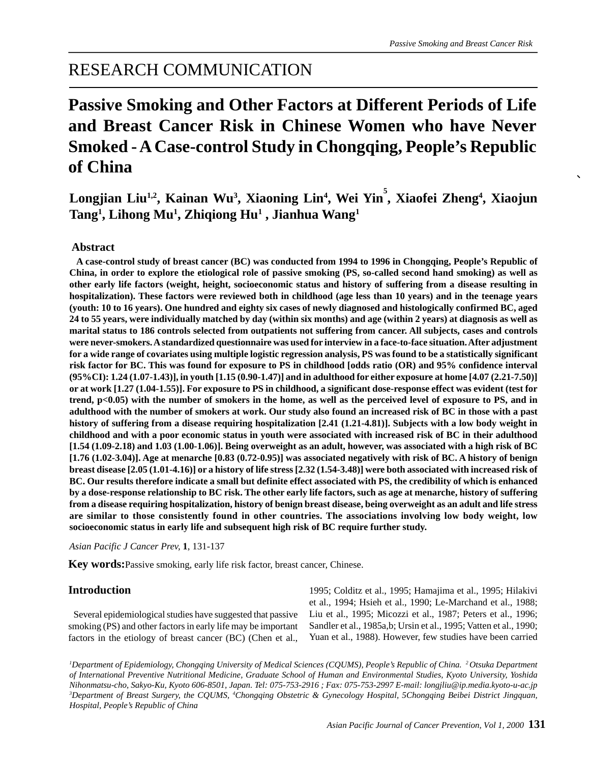## RESEARCH COMMUNICATION

# **Passive Smoking and Other Factors at Different Periods of Life and Breast Cancer Risk in Chinese Women who have Never Smoked - A Case-control Study in Chongqing, People's Republic of China**

## $\bf{Longjian Liu^{1,2}}, Kainan Wu^3, Xiaoning Lin^4, Wei Yin^5, Xiaofei Zheng^4, Xiaojun$ **Tang1 , Lihong Mu1 , Zhiqiong Hu1 , Jianhua Wang1**

## **Abstract**

 **A case-control study of breast cancer (BC) was conducted from 1994 to 1996 in Chongqing, People's Republic of China, in order to explore the etiological role of passive smoking (PS, so-called second hand smoking) as well as other early life factors (weight, height, socioeconomic status and history of suffering from a disease resulting in hospitalization). These factors were reviewed both in childhood (age less than 10 years) and in the teenage years (youth: 10 to 16 years). One hundred and eighty six cases of newly diagnosed and histologically confirmed BC, aged 24 to 55 years, were individually matched by day (within six months) and age (within 2 years) at diagnosis as well as marital status to 186 controls selected from outpatients not suffering from cancer. All subjects, cases and controls were never-smokers. A standardized questionnaire was used for interview in a face-to-face situation. After adjustment for a wide range of covariates using multiple logistic regression analysis, PS was found to be a statistically significant risk factor for BC. This was found for exposure to PS in childhood [odds ratio (OR) and 95% confidence interval (95%CI): 1.24 (1.07-1.43)], in youth [1.15 (0.90-1.47)] and in adulthood for either exposure at home [4.07 (2.21-7.50)] or at work [1.27 (1.04-1.55)]. For exposure to PS in childhood, a significant dose-response effect was evident (test for trend, p<0.05) with the number of smokers in the home, as well as the perceived level of exposure to PS, and in adulthood with the number of smokers at work. Our study also found an increased risk of BC in those with a past history of suffering from a disease requiring hospitalization [2.41 (1.21-4.81)]. Subjects with a low body weight in childhood and with a poor economic status in youth were associated with increased risk of BC in their adulthood [1.54 (1.09-2.18) and 1.03 (1.00-1.06)]. Being overweight as an adult, however, was associated with a high risk of BC [1.76 (1.02-3.04)]. Age at menarche [0.83 (0.72-0.95)] was associated negatively with risk of BC. A history of benign breast disease [2.05 (1.01-4.16)] or a history of life stress [2.32 (1.54-3.48)] were both associated with increased risk of BC. Our results therefore indicate a small but definite effect associated with PS, the credibility of which is enhanced by a dose-response relationship to BC risk. The other early life factors, such as age at menarche, history of suffering from a disease requiring hospitalization, history of benign breast disease, being overweight as an adult and life stress are similar to those consistently found in other countries. The associations involving low body weight, low socioeconomic status in early life and subsequent high risk of BC require further study.**

*Asian Pacific J Cancer Prev,* **1**, 131-137

**Key words:**Passive smoking, early life risk factor, breast cancer, Chinese.

## **Introduction**

 Several epidemiological studies have suggested that passive smoking (PS) and other factors in early life may be important factors in the etiology of breast cancer (BC) (Chen et al.,

1995; Colditz et al., 1995; Hamajima et al., 1995; Hilakivi et al., 1994; Hsieh et al., 1990; Le-Marchand et al., 1988; Liu et al., 1995; Micozzi et al., 1987; Peters et al., 1996; Sandler et al., 1985a,b; Ursin et al., 1995; Vatten et al., 1990; Yuan et al., 1988). However, few studies have been carried

*1 Department of Epidemiology, Chongqing University of Medical Sciences (CQUMS), People's Republic of China. 2 Otsuka Department of International Preventive Nutritional Medicine, Graduate School of Human and Environmental Studies, Kyoto University, Yoshida Nihonmatsu-cho, Sakyo-Ku, Kyoto 606-8501, Japan. Tel: 075-753-2916 ; Fax: 075-753-2997 E-mail: longjliu@ip.media.kyoto-u-ac.jp 3 Department of Breast Surgery, the CQUMS, 4 Chongqing Obstetric & Gynecology Hospital, 5Chongqing Beibei District Jingquan, Hospital, People's Republic of China*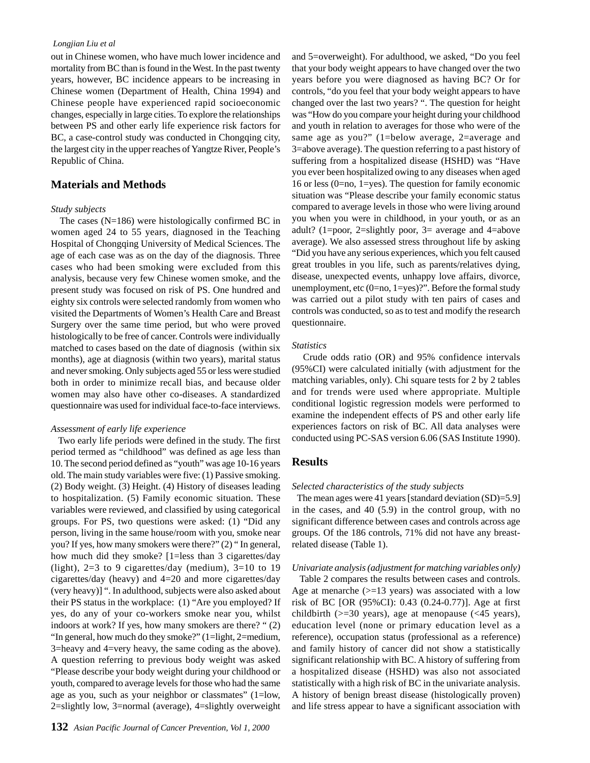#### *Longjian Liu et al*

out in Chinese women, who have much lower incidence and mortality from BC than is found in the West. In the past twenty years, however, BC incidence appears to be increasing in Chinese women (Department of Health, China 1994) and Chinese people have experienced rapid socioeconomic changes, especially in large cities. To explore the relationships between PS and other early life experience risk factors for BC, a case-control study was conducted in Chongqing city, the largest city in the upper reaches of Yangtze River, People's Republic of China.

## **Materials and Methods**

#### *Study subjects*

 The cases (N=186) were histologically confirmed BC in women aged 24 to 55 years, diagnosed in the Teaching Hospital of Chongqing University of Medical Sciences. The age of each case was as on the day of the diagnosis. Three cases who had been smoking were excluded from this analysis, because very few Chinese women smoke, and the present study was focused on risk of PS. One hundred and eighty six controls were selected randomly from women who visited the Departments of Women's Health Care and Breast Surgery over the same time period, but who were proved histologically to be free of cancer. Controls were individually matched to cases based on the date of diagnosis (within six months), age at diagnosis (within two years), marital status and never smoking. Only subjects aged 55 or less were studied both in order to minimize recall bias, and because older women may also have other co-diseases. A standardized questionnaire was used for individual face-to-face interviews.

#### *Assessment of early life experience*

 Two early life periods were defined in the study. The first period termed as "childhood" was defined as age less than 10. The second period defined as "youth" was age 10-16 years old. The main study variables were five: (1) Passive smoking. (2) Body weight. (3) Height. (4) History of diseases leading to hospitalization. (5) Family economic situation. These variables were reviewed, and classified by using categorical groups. For PS, two questions were asked: (1) "Did any person, living in the same house/room with you, smoke near you? If yes, how many smokers were there?" (2) " In general, how much did they smoke? [1=less than 3 cigarettes/day (light),  $2=3$  to 9 cigarettes/day (medium),  $3=10$  to 19 cigarettes/day (heavy) and 4=20 and more cigarettes/day (very heavy)] ". In adulthood, subjects were also asked about their PS status in the workplace: (1) "Are you employed? If yes, do any of your co-workers smoke near you, whilst indoors at work? If yes, how many smokers are there? " (2) "In general, how much do they smoke?" (1=light, 2=medium, 3=heavy and 4=very heavy, the same coding as the above). A question referring to previous body weight was asked "Please describe your body weight during your childhood or youth, compared to average levels for those who had the same age as you, such as your neighbor or classmates" (1=low, 2=slightly low, 3=normal (average), 4=slightly overweight

and 5=overweight). For adulthood, we asked, "Do you feel that your body weight appears to have changed over the two years before you were diagnosed as having BC? Or for controls, "do you feel that your body weight appears to have changed over the last two years? ". The question for height was "How do you compare your height during your childhood and youth in relation to averages for those who were of the same age as you?" (1=below average, 2=average and 3=above average). The question referring to a past history of suffering from a hospitalized disease (HSHD) was "Have you ever been hospitalized owing to any diseases when aged 16 or less (0=no, 1=yes). The question for family economic situation was "Please describe your family economic status compared to average levels in those who were living around you when you were in childhood, in your youth, or as an adult? (1=poor, 2=slightly poor, 3= average and 4=above average). We also assessed stress throughout life by asking "Did you have any serious experiences, which you felt caused great troubles in you life, such as parents/relatives dying, disease, unexpected events, unhappy love affairs, divorce, unemployment, etc (0=no, 1=yes)?". Before the formal study was carried out a pilot study with ten pairs of cases and controls was conducted, so as to test and modify the research questionnaire.

#### *Statistics*

 Crude odds ratio (OR) and 95% confidence intervals (95%CI) were calculated initially (with adjustment for the matching variables, only). Chi square tests for 2 by 2 tables and for trends were used where appropriate. Multiple conditional logistic regression models were performed to examine the independent effects of PS and other early life experiences factors on risk of BC. All data analyses were conducted using PC-SAS version 6.06 (SAS Institute 1990).

### **Results**

#### *Selected characteristics of the study subjects*

 The mean ages were 41 years [standard deviation (SD)=5.9] in the cases, and 40 (5.9) in the control group, with no significant difference between cases and controls across age groups. Of the 186 controls, 71% did not have any breastrelated disease (Table 1).

#### *Univariate analysis (adjustment for matching variables only)*

 Table 2 compares the results between cases and controls. Age at menarche  $(>=13$  years) was associated with a low risk of BC [OR (95%CI): 0.43 (0.24-0.77)]. Age at first childbirth  $(>=30 \text{ years})$ , age at menopause  $(<45 \text{ years})$ , education level (none or primary education level as a reference), occupation status (professional as a reference) and family history of cancer did not show a statistically significant relationship with BC. A history of suffering from a hospitalized disease (HSHD) was also not associated statistically with a high risk of BC in the univariate analysis. A history of benign breast disease (histologically proven) and life stress appear to have a significant association with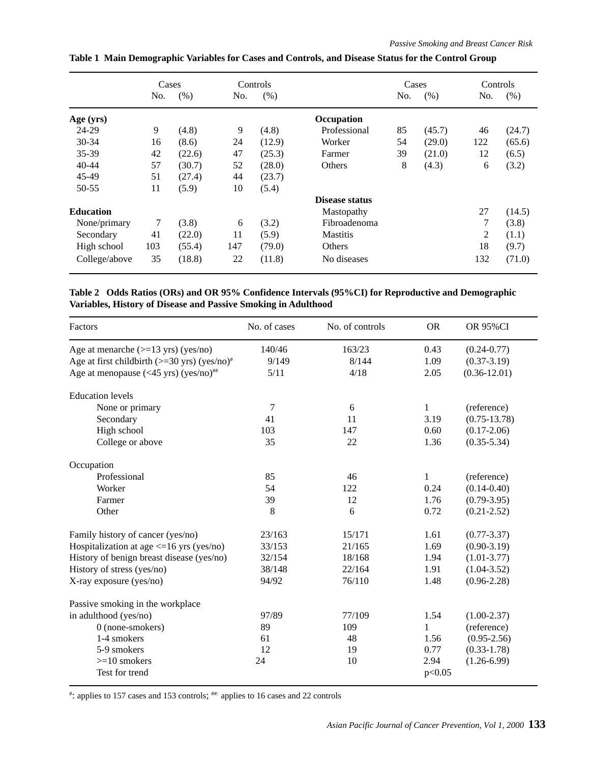|                  | Cases |        | Controls |        |                 | Cases |        | Controls |        |
|------------------|-------|--------|----------|--------|-----------------|-------|--------|----------|--------|
|                  | No.   | (% )   | No.      | (% )   |                 | No.   | (% )   | No.      | (% )   |
| Age (yrs)        |       |        |          |        | Occupation      |       |        |          |        |
| 24-29            | 9     | (4.8)  | 9        | (4.8)  | Professional    | 85    | (45.7) | 46       | (24.7) |
| 30-34            | 16    | (8.6)  | 24       | (12.9) | Worker          | 54    | (29.0) | 122      | (65.6) |
| 35-39            | 42    | (22.6) | 47       | (25.3) | Farmer          | 39    | (21.0) | 12       | (6.5)  |
| 40-44            | 57    | (30.7) | 52       | (28.0) | <b>Others</b>   | 8     | (4.3)  | 6        | (3.2)  |
| 45-49            | 51    | (27.4) | 44       | (23.7) |                 |       |        |          |        |
| $50 - 55$        | 11    | (5.9)  | 10       | (5.4)  |                 |       |        |          |        |
|                  |       |        |          |        | Disease status  |       |        |          |        |
| <b>Education</b> |       |        |          |        | Mastopathy      |       |        | 27       | (14.5) |
| None/primary     | 7     | (3.8)  | 6        | (3.2)  | Fibroadenoma    |       |        | 7        | (3.8)  |
| Secondary        | 41    | (22.0) | 11       | (5.9)  | <b>Mastitis</b> |       | 2      | (1.1)    |        |
| High school      | 103   | (55.4) | 147      | (79.0) | <b>Others</b>   |       |        | 18       | (9.7)  |
| College/above    | 35    | (18.8) | 22       | (11.8) | No diseases     |       |        | 132      | (71.0) |

## **Table 1 Main Demographic Variables for Cases and Controls, and Disease Status for the Control Group**

**Table 2 Odds Ratios (ORs) and OR 95% Confidence Intervals (95%CI) for Reproductive and Demographic Variables, History of Disease and Passive Smoking in Adulthood**

| Factors                                                            | No. of cases | No. of controls | <b>OR</b>    | <b>OR 95%CI</b>  |
|--------------------------------------------------------------------|--------------|-----------------|--------------|------------------|
| Age at menarche $(>=13 \text{ yrs})$ (yes/no)                      | 140/46       | 163/23          | 0.43         | $(0.24 - 0.77)$  |
| Age at first childbirth $(>=30 \text{ yrs})$ (yes/no) <sup>#</sup> | 9/149        | 8/144           | 1.09         | $(0.37 - 3.19)$  |
| Age at menopause $(<45 \text{ yrs})$ (yes/no) <sup>##</sup>        | 5/11         | 4/18            | 2.05         | $(0.36 - 12.01)$ |
| <b>Education</b> levels                                            |              |                 |              |                  |
| None or primary                                                    | 7            | 6               | 1            | (reference)      |
| Secondary                                                          | 41           | 11              | 3.19         | $(0.75 - 13.78)$ |
| High school                                                        | 103          | 147             | 0.60         | $(0.17 - 2.06)$  |
| College or above                                                   | 35           | 22              | 1.36         | $(0.35 - 5.34)$  |
| Occupation                                                         |              |                 |              |                  |
| Professional                                                       | 85           | 46              | $\mathbf{1}$ | (reference)      |
| Worker                                                             | 54           | 122             | 0.24         | $(0.14 - 0.40)$  |
| Farmer                                                             | 39           | 12              | 1.76         | $(0.79 - 3.95)$  |
| Other                                                              | 8            | 6               | 0.72         | $(0.21 - 2.52)$  |
| Family history of cancer (yes/no)                                  | 23/163       | 15/171          | 1.61         | $(0.77 - 3.37)$  |
| Hospitalization at age $\leq$ 16 yrs (yes/no)                      | 33/153       | 21/165          | 1.69         | $(0.90 - 3.19)$  |
| History of benign breast disease (yes/no)                          | 32/154       | 18/168          | 1.94         | $(1.01 - 3.77)$  |
| History of stress (yes/no)                                         | 38/148       | 22/164          | 1.91         | $(1.04 - 3.52)$  |
| X-ray exposure (yes/no)                                            | 94/92        | 76/110          | 1.48         | $(0.96 - 2.28)$  |
| Passive smoking in the workplace                                   |              |                 |              |                  |
| in adulthood (yes/no)                                              | 97/89        | 77/109          | 1.54         | $(1.00-2.37)$    |
| $0$ (none-smokers)                                                 | 89           | 109             | 1            | (reference)      |
| 1-4 smokers                                                        | 61           | 48              | 1.56         | $(0.95 - 2.56)$  |
| 5-9 smokers                                                        | 12           | 19              | 0.77         | $(0.33 - 1.78)$  |
| $>=10$ smokers                                                     | 24           | 10              | 2.94         | $(1.26 - 6.99)$  |
| Test for trend                                                     |              |                 | p<0.05       |                  |

# : applies to 157 cases and 153 controls; ##: applies to 16 cases and 22 controls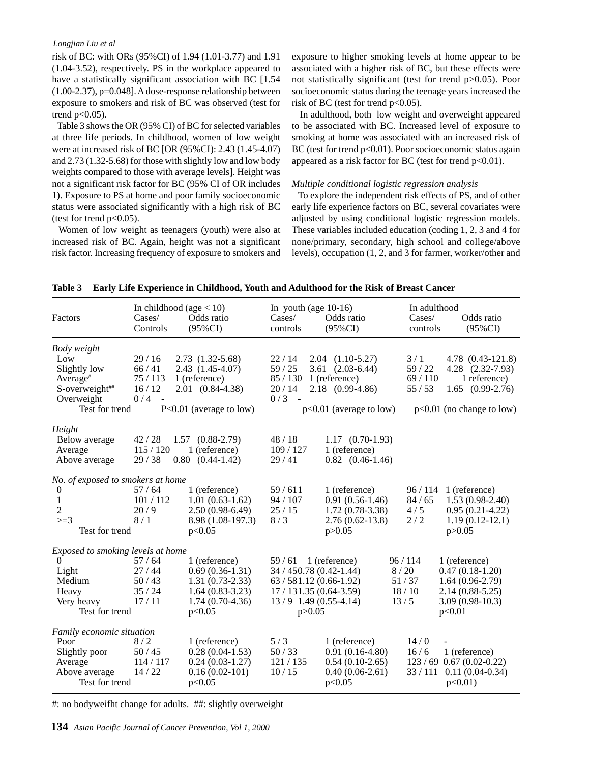#### *Longjian Liu et al*

risk of BC: with ORs (95%CI) of 1.94 (1.01-3.77) and 1.91 (1.04-3.52), respectively. PS in the workplace appeared to have a statistically significant association with BC [1.54 (1.00-2.37), p=0.048]. A dose-response relationship between exposure to smokers and risk of BC was observed (test for trend  $p<0.05$ ).

 Table 3 shows the OR (95% CI) of BC for selected variables at three life periods. In childhood, women of low weight were at increased risk of BC [OR (95%CI): 2.43 (1.45-4.07) and 2.73 (1.32-5.68) for those with slightly low and low body weights compared to those with average levels]. Height was not a significant risk factor for BC (95% CI of OR includes 1). Exposure to PS at home and poor family socioeconomic status were associated significantly with a high risk of BC (test for trend  $p<0.05$ ).

 Women of low weight as teenagers (youth) were also at increased risk of BC. Again, height was not a significant risk factor. Increasing frequency of exposure to smokers and exposure to higher smoking levels at home appear to be associated with a higher risk of BC, but these effects were not statistically significant (test for trend p>0.05). Poor socioeconomic status during the teenage years increased the risk of BC (test for trend  $p<0.05$ ).

 In adulthood, both low weight and overweight appeared to be associated with BC. Increased level of exposure to smoking at home was associated with an increased risk of BC (test for trend  $p<0.01$ ). Poor socioeconomic status again appeared as a risk factor for BC (test for trend p<0.01).

#### *Multiple conditional logistic regression analysis*

 To explore the independent risk effects of PS, and of other early life experience factors on BC, several covariates were adjusted by using conditional logistic regression models. These variables included education (coding 1, 2, 3 and 4 for none/primary, secondary, high school and college/above levels), occupation (1, 2, and 3 for farmer, worker/other and

| Factors                                                                                                       | In childhood (age $< 10$ )<br>$\text{Cases}$<br>Controls | Odds ratio<br>(95%CI)                                                                                       | In youth (age $10-16$ )<br>$\text{Case}$<br>controls                                                                         | Odds ratio<br>$(95\%CI)$                                                                                       | In adulthood<br>$\text{Case}$<br>controls | Odds ratio<br>(95%CI)                                                                                           |
|---------------------------------------------------------------------------------------------------------------|----------------------------------------------------------|-------------------------------------------------------------------------------------------------------------|------------------------------------------------------------------------------------------------------------------------------|----------------------------------------------------------------------------------------------------------------|-------------------------------------------|-----------------------------------------------------------------------------------------------------------------|
| Body weight<br>Low<br>Slightly low<br>Average <sup>#</sup><br>S-overweight##<br>Overweight<br>Test for trend  | 29/16<br>66/41<br>75/113<br>16/12<br>0/4<br>$\sim$       | 2.73 (1.32-5.68)<br>$2.43(1.45-4.07)$<br>1 (reference)<br>2.01 (0.84-4.38)<br>$P<0.01$ (average to low)     | 22/14<br>59/25<br>85/130<br>20/14<br>0/3<br>$\sim$                                                                           | $2.04$ $(1.10-5.27)$<br>$3.61$ $(2.03-6.44)$<br>1 (reference)<br>2.18 (0.99-4.86)<br>$p<0.01$ (average to low) | 3/1<br>59 / 22<br>69/110<br>55/53         | 4.78 (0.43-121.8)<br>4.28 (2.32-7.93)<br>1 reference)<br>1.65<br>$(0.99 - 2.76)$<br>$p<0.01$ (no change to low) |
| Height<br>Below average<br>Average<br>Above average                                                           | 42/28<br>115/120<br>29/38<br>0.80                        | $1.57$ $(0.88-2.79)$<br>1 (reference)<br>$(0.44 - 1.42)$                                                    | 48/18<br>109/127<br>29/41                                                                                                    | $1.17$ $(0.70-1.93)$<br>1 (reference)<br>$0.82$ $(0.46-1.46)$                                                  |                                           |                                                                                                                 |
| No. of exposed to smokers at home<br>$\boldsymbol{0}$<br>1<br>$\sqrt{2}$<br>$>=3$<br>Test for trend           | 57/64<br>101/112<br>20/9<br>8/1                          | 1 (reference)<br>$1.01(0.63-1.62)$<br>$2.50(0.98-6.49)$<br>8.98 (1.08-197.3)<br>p<0.05                      | 59/611<br>94/107<br>25/15<br>8/3                                                                                             | 1 (reference)<br>$0.91(0.56-1.46)$<br>$1.72(0.78-3.38)$<br>$2.76(0.62 - 13.8)$<br>p > 0.05                     | 96/114<br>84/65<br>4/5<br>2/2             | 1 (reference)<br>$1.53(0.98-2.40)$<br>$0.95(0.21-4.22)$<br>$1.19(0.12-12.1)$<br>p > 0.05                        |
| Exposed to smoking levels at home<br>$\mathbf{0}$<br>Light<br>Medium<br>Heavy<br>Very heavy<br>Test for trend | 57/64<br>27/44<br>50/43<br>35/24<br>17/11                | 1 (reference)<br>$0.69(0.36-1.31)$<br>$1.31(0.73-2.33)$<br>$1.64(0.83-3.23)$<br>$1.74(0.70-4.36)$<br>p<0.05 | 59/61<br>34 / 450.78 (0.42-1.44)<br>$63/581.12(0.66-1.92)$<br>17 / 131.35 (0.64-3.59)<br>$13/9$ 1.49 (0.55-4.14)<br>p > 0.05 | 1 (reference)                                                                                                  | 96/114<br>8/20<br>51/37<br>18/10<br>13/5  | 1 (reference)<br>$0.47(0.18-1.20)$<br>$1.64(0.96-2.79)$<br>$2.14(0.88 - 5.25)$<br>$3.09(0.98-10.3)$<br>p<0.01   |
| Family economic situation<br>Poor<br>Slightly poor<br>Average<br>Above average<br>Test for trend              | 8/2<br>50/45<br>114/117<br>14/22                         | 1 (reference)<br>$0.28(0.04-1.53)$<br>$0.24(0.03-1.27)$<br>$0.16(0.02-101)$<br>p<0.05                       | 5/3<br>50/33<br>121/135<br>10/15                                                                                             | 1 (reference)<br>$0.91(0.16-4.80)$<br>$0.54(0.10-2.65)$<br>$0.40(0.06-2.61)$<br>p<0.05                         | 14/0<br>16/6                              | 1 (reference)<br>$123/69$ 0.67 (0.02-0.22)<br>$33 / 111$ 0.11 (0.04-0.34)<br>$p<0.01$ )                         |

**Table 3 Early Life Experience in Childhood, Youth and Adulthood for the Risk of Breast Cancer**

#: no bodyweifht change for adults. ##: slightly overweight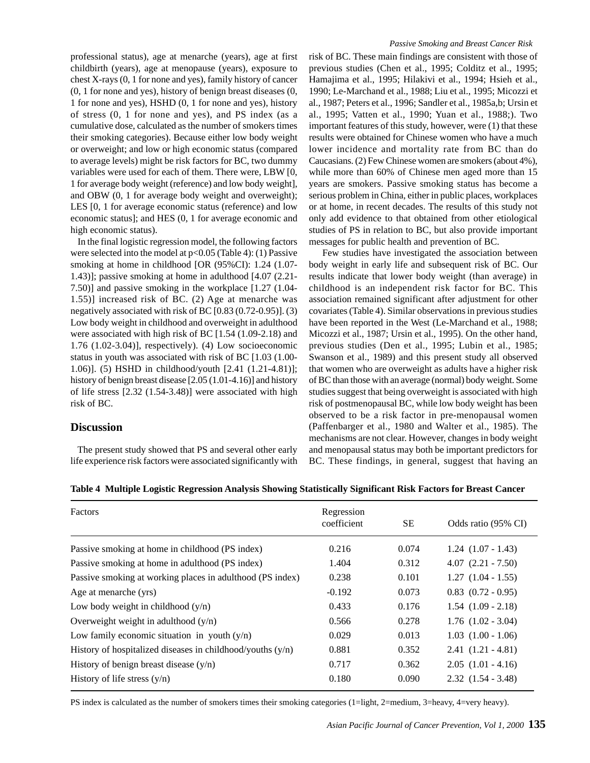professional status), age at menarche (years), age at first childbirth (years), age at menopause (years), exposure to chest X-rays (0, 1 for none and yes), family history of cancer (0, 1 for none and yes), history of benign breast diseases (0, 1 for none and yes), HSHD (0, 1 for none and yes), history of stress (0, 1 for none and yes), and PS index (as a cumulative dose, calculated as the number of smokers times their smoking categories). Because either low body weight or overweight; and low or high economic status (compared to average levels) might be risk factors for BC, two dummy variables were used for each of them. There were, LBW [0, 1 for average body weight (reference) and low body weight], and OBW (0, 1 for average body weight and overweight); LES [0, 1 for average economic status (reference) and low economic status]; and HES (0, 1 for average economic and high economic status).

 In the final logistic regression model, the following factors were selected into the model at p<0.05 (Table 4): (1) Passive smoking at home in childhood [OR (95%CI): 1.24 (1.07- 1.43)]; passive smoking at home in adulthood [4.07 (2.21- 7.50)] and passive smoking in the workplace [1.27 (1.04- 1.55)] increased risk of BC. (2) Age at menarche was negatively associated with risk of BC [0.83 (0.72-0.95)]. (3) Low body weight in childhood and overweight in adulthood were associated with high risk of BC [1.54 (1.09-2.18) and 1.76 (1.02-3.04)], respectively). (4) Low socioeconomic status in youth was associated with risk of BC [1.03 (1.00- 1.06)]. (5) HSHD in childhood/youth [2.41 (1.21-4.81)]; history of benign breast disease [2.05 (1.01-4.16)] and history of life stress [2.32 (1.54-3.48)] were associated with high risk of BC.

## **Discussion**

 The present study showed that PS and several other early life experience risk factors were associated significantly with

#### *Passive Smoking and Breast Cancer Risk*

risk of BC. These main findings are consistent with those of previous studies (Chen et al., 1995; Colditz et al., 1995; Hamajima et al., 1995; Hilakivi et al., 1994; Hsieh et al., 1990; Le-Marchand et al., 1988; Liu et al., 1995; Micozzi et al., 1987; Peters et al., 1996; Sandler et al., 1985a,b; Ursin et al., 1995; Vatten et al., 1990; Yuan et al., 1988;). Two important features of this study, however, were (1) that these results were obtained for Chinese women who have a much lower incidence and mortality rate from BC than do Caucasians. (2) Few Chinese women are smokers (about 4%), while more than 60% of Chinese men aged more than 15 years are smokers. Passive smoking status has become a serious problem in China, either in public places, workplaces or at home, in recent decades. The results of this study not only add evidence to that obtained from other etiological studies of PS in relation to BC, but also provide important messages for public health and prevention of BC.

 Few studies have investigated the association between body weight in early life and subsequent risk of BC. Our results indicate that lower body weight (than average) in childhood is an independent risk factor for BC. This association remained significant after adjustment for other covariates (Table 4). Similar observations in previous studies have been reported in the West (Le-Marchand et al., 1988; Micozzi et al., 1987; Ursin et al., 1995). On the other hand, previous studies (Den et al., 1995; Lubin et al., 1985; Swanson et al., 1989) and this present study all observed that women who are overweight as adults have a higher risk of BC than those with an average (normal) body weight. Some studies suggest that being overweight is associated with high risk of postmenopausal BC, while low body weight has been observed to be a risk factor in pre-menopausal women (Paffenbarger et al., 1980 and Walter et al., 1985). The mechanisms are not clear. However, changes in body weight and menopausal status may both be important predictors for BC. These findings, in general, suggest that having an

| <b>Factors</b>                                               | Regression<br>coefficient | SЕ    | Odds ratio (95% CI)    |
|--------------------------------------------------------------|---------------------------|-------|------------------------|
| Passive smoking at home in childhood (PS index)              | 0.216                     | 0.074 | $1.24$ $(1.07 - 1.43)$ |
| Passive smoking at home in adulthood (PS index)              | 1.404                     | 0.312 | $4.07$ $(2.21 - 7.50)$ |
| Passive smoking at working places in adulthood (PS index)    | 0.238                     | 0.101 | $1.27$ $(1.04 - 1.55)$ |
| Age at menarche (yrs)                                        | $-0.192$                  | 0.073 | $0.83$ $(0.72 - 0.95)$ |
| Low body weight in childhood $(y/n)$                         | 0.433                     | 0.176 | $1.54$ $(1.09 - 2.18)$ |
| Overweight weight in adulthood $(y/n)$                       | 0.566                     | 0.278 | $1.76$ $(1.02 - 3.04)$ |
| Low family economic situation in youth $(y/n)$               | 0.029                     | 0.013 | $1.03$ $(1.00 - 1.06)$ |
| History of hospitalized diseases in childhood/youths $(y/n)$ | 0.881                     | 0.352 | $2.41(1.21 - 4.81)$    |
| History of benign breast disease $(y/n)$                     | 0.717                     | 0.362 | $2.05$ $(1.01 - 4.16)$ |
| History of life stress $(y/n)$                               | 0.180                     | 0.090 | $2.32$ $(1.54 - 3.48)$ |

**Table 4 Multiple Logistic Regression Analysis Showing Statistically Significant Risk Factors for Breast Cancer**

PS index is calculated as the number of smokers times their smoking categories (1=light, 2=medium, 3=heavy, 4=very heavy).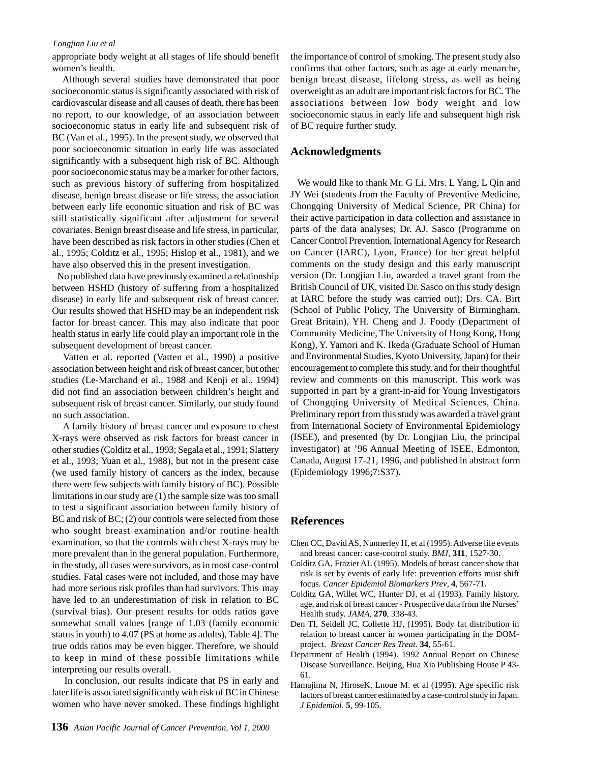#### *Longjian Liu et al*

appropriate body weight at all stages of life should benefit women's health.

 Although several studies have demonstrated that poor socioeconomic status is significantly associated with risk of cardiovascular disease and all causes of death, there has been no report, to our knowledge, of an association between socioeconomic status in early life and subsequent risk of BC (Van et al., 1995). In the present study, we observed that poor socioeconomic situation in early life was associated significantly with a subsequent high risk of BC. Although poor socioeconomic status may be a marker for other factors, such as previous history of suffering from hospitalized disease, benign breast disease or life stress, the association between early life economic situation and risk of BC was still statistically significant after adjustment for several covariates. Benign breast disease and life stress, in particular, have been described as risk factors in other studies (Chen et al., 1995; Colditz et al., 1995; Hislop et al., 1981), and we have also observed this in the present investigation.

 No published data have previously examined a relationship between HSHD (history of suffering from a hospitalized disease) in early life and subsequent risk of breast cancer. Our results showed that HSHD may be an independent risk factor for breast cancer. This may also indicate that poor health status in early life could play an important role in the subsequent development of breast cancer.

 Vatten et al. reported (Vatten et al., 1990) a positive association between height and risk of breast cancer, but other studies (Le-Marchand et al., 1988 and Kenji et al., 1994) did not find an association between children's height and subsequent risk of breast cancer. Similarly, our study found no such association.

 A family history of breast cancer and exposure to chest X-rays were observed as risk factors for breast cancer in other studies (Colditz et al., 1993; Segala et al., 1991; Slattery et al., 1993; Yuan et al., 1988), but not in the present case (we used family history of cancers as the index, because there were few subjects with family history of BC). Possible limitations in our study are (1) the sample size was too small to test a significant association between family history of BC and risk of BC; (2) our controls were selected from those who sought breast examination and/or routine health examination, so that the controls with chest X-rays may be more prevalent than in the general population. Furthermore, in the study, all cases were survivors, as in most case-control studies. Fatal cases were not included, and those may have had more serious risk profiles than had survivors. This may have led to an underestimation of risk in relation to BC (survival bias). Our present results for odds ratios gave somewhat small values [range of 1.03 (family economic status in youth) to 4.07 (PS at home as adults), Table 4]. The true odds ratios may be even bigger. Therefore, we should to keep in mind of these possible limitations while interpreting our results overall.

 In conclusion, our results indicate that PS in early and later life is associated significantly with risk of BC in Chinese women who have never smoked. These findings highlight the importance of control of smoking. The present study also confirms that other factors, such as age at early menarche, benign breast disease, lifelong stress, as well as being overweight as an adult are important risk factors for BC. The associations between low body weight and low socioeconomic status in early life and subsequent high risk of BC require further study.

#### **Acknowledgments**

 We would like to thank Mr. G Li, Mrs. L Yang, L Qin and JY Wei (students from the Faculty of Preventive Medicine, Chongqing University of Medical Science, PR China) for their active participation in data collection and assistance in parts of the data analyses; Dr. AJ. Sasco (Programme on Cancer Control Prevention, International Agency for Research on Cancer (IARC), Lyon, France) for her great helpful comments on the study design and this early manuscript version (Dr. Longjian Liu, awarded a travel grant from the British Council of UK, visited Dr. Sasco on this study design at IARC before the study was carried out); Drs. CA. Birt (School of Public Policy, The University of Birmingham, Great Britain), YH. Cheng and J. Foody (Department of Community Medicine, The University of Hong Kong, Hong Kong), Y. Yamori and K. Ikeda (Graduate School of Human and Environmental Studies, Kyoto University, Japan) for their encouragement to complete this study, and for their thoughtful review and comments on this manuscript. This work was supported in part by a grant-in-aid for Young Investigators of Chongqing University of Medical Sciences, China. Preliminary report from this study was awarded a travel grant from International Society of Environmental Epidemiology (ISEE), and presented (by Dr. Longjian Liu, the principal investigator) at '96 Annual Meeting of ISEE, Edmonton, Canada, August 17-21, 1996, and published in abstract form (Epidemiology 1996;7:S37).

#### **References**

- Chen CC, David AS, Nunnerley H, et al (1995). Adverse life events and breast cancer: case-control study. *BMJ,* **311**, 1527-30.
- Colditz GA, Frazier AL (1995). Models of breast cancer show that risk is set by events of early life: prevention efforts must shift focus. *Cancer Epidemiol Biomarkers Prev*, **4**, 567-71.
- Colditz GA, Willet WC, Hunter DJ, et al (1993). Family history, age, and risk of breast cancer - Prospective data from the Nurses' Health study. *JAMA,* **270**, 338-43.
- Den TI, Seidell JC, Collette HJ, (1995). Body fat distribution in relation to breast cancer in women participating in the DOMproject. *Breast Cancer Res Treat.* **34**, 55-61.
- Department of Health (1994). 1992 Annual Report on Chinese Disease Surveillance. Beijing, Hua Xia Publishing House P 43- 61.
- Hamajima N, HiroseK, Lnoue M. et al (1995). Age specific risk factors of breast cancer estimated by a case-control study in Japan. *J Epidemiol*. **5**, 99-105.